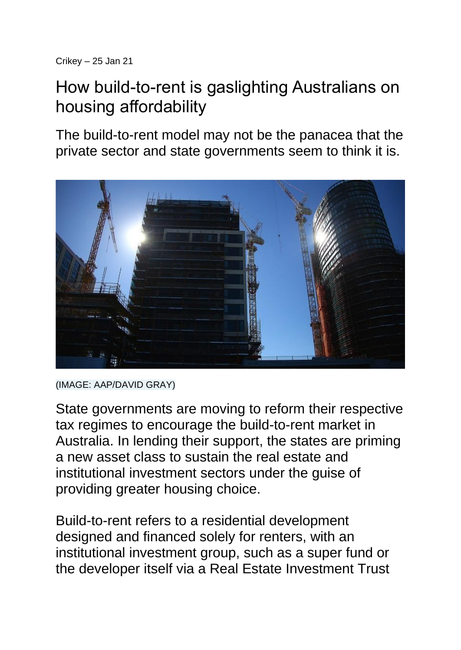## How build-to-rent is gaslighting Australians on housing affordability

The build-to-rent model may not be the panacea that the private sector and state governments seem to think it is.



<sup>(</sup>IMAGE: AAP/DAVID GRAY)

State governments are moving to reform their respective tax regimes to encourage the build-to-rent market in Australia. In lending their support, the states are priming a new asset class to sustain the real estate and institutional investment sectors under the guise of providing greater housing choice.

Build-to-rent refers to a residential development designed and financed solely for renters, with an institutional investment group, such as a super fund or the developer itself via a Real Estate Investment Trust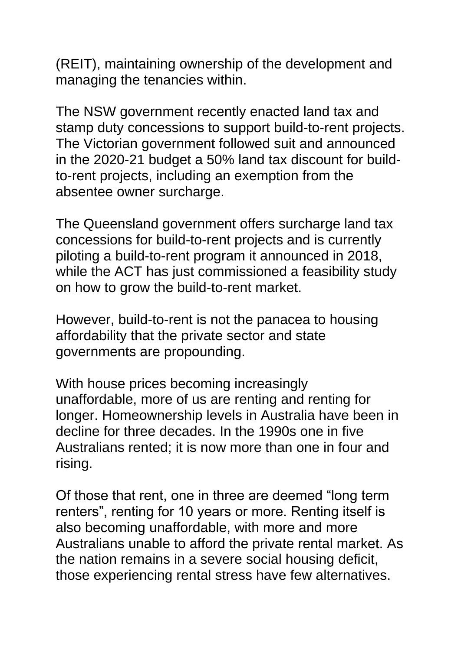(REIT), maintaining ownership of the development and managing the tenancies within.

The NSW government recently enacted land tax and stamp duty concessions to support build-to-rent projects. The Victorian government followed suit and announced in the 2020-21 budget a 50% land tax discount for buildto-rent projects, including an exemption from the absentee owner surcharge.

The Queensland government offers surcharge land tax concessions for build-to-rent projects and is currently piloting a build-to-rent program it announced in 2018, while the ACT has just commissioned a feasibility study on how to grow the build-to-rent market.

However, build-to-rent is not the panacea to housing affordability that the private sector and state governments are propounding.

With house prices becoming increasingly unaffordable, more of us are renting and renting for longer. Homeownership levels in Australia have been in decline for three decades. In the 1990s one in five Australians rented; it is now more than one in four and rising.

Of those that rent, one in three are deemed "long term renters", renting for 10 years or more. Renting itself is also becoming unaffordable, with more and more Australians unable to afford the private rental market. As the nation remains in a severe social housing deficit, those experiencing rental stress have few alternatives.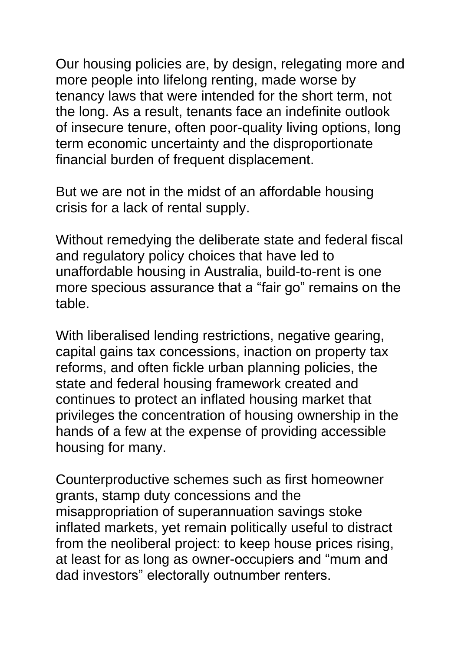Our housing policies are, by design, relegating more and more people into lifelong renting, made worse by tenancy laws that were intended for the short term, not the long. As a result, tenants face an indefinite outlook of insecure tenure, often poor-quality living options, long term economic uncertainty and the disproportionate financial burden of frequent displacement.

But we are not in the midst of an affordable housing crisis for a lack of rental supply.

Without remedying the deliberate state and federal fiscal and regulatory policy choices that have led to unaffordable housing in Australia, build-to-rent is one more specious assurance that a "fair go" remains on the table.

With liberalised lending restrictions, negative gearing, capital gains tax concessions, inaction on property tax reforms, and often fickle urban planning policies, the state and federal housing framework created and continues to protect an inflated housing market that privileges the concentration of housing ownership in the hands of a few at the expense of providing accessible housing for many.

Counterproductive schemes such as first homeowner grants, stamp duty concessions and the misappropriation of superannuation savings stoke inflated markets, yet remain politically useful to distract from the neoliberal project: to keep house prices rising, at least for as long as owner-occupiers and "mum and dad investors" electorally outnumber renters.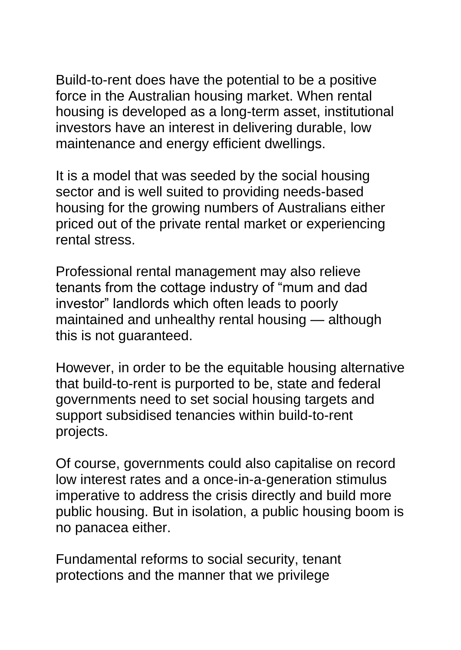Build-to-rent does have the potential to be a positive force in the Australian housing market. When rental housing is developed as a long-term asset, institutional investors have an interest in delivering durable, low maintenance and energy efficient dwellings.

It is a model that was seeded by the social housing sector and is well suited to providing needs-based housing for the growing numbers of Australians either priced out of the private rental market or experiencing rental stress.

Professional rental management may also relieve tenants from the cottage industry of "mum and dad investor" landlords which often leads to poorly maintained and unhealthy rental housing — although this is not guaranteed.

However, in order to be the equitable housing alternative that build-to-rent is purported to be, state and federal governments need to set social housing targets and support subsidised tenancies within build-to-rent projects.

Of course, governments could also capitalise on record low interest rates and a once-in-a-generation stimulus imperative to address the crisis directly and build more public housing. But in isolation, a public housing boom is no panacea either.

Fundamental reforms to social security, tenant protections and the manner that we privilege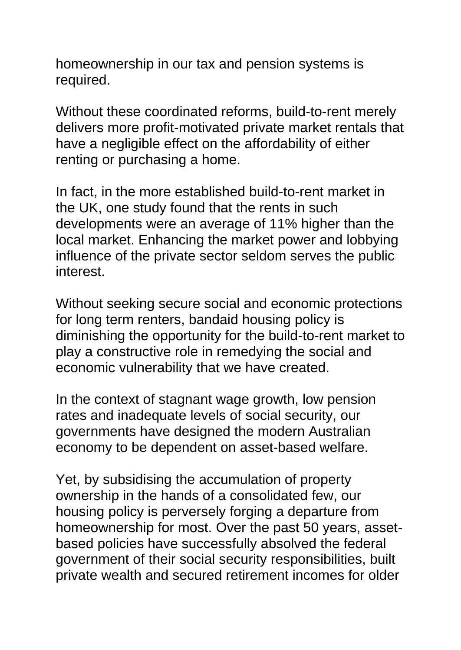homeownership in our tax and pension systems is required.

Without these coordinated reforms, build-to-rent merely delivers more profit-motivated private market rentals that have a negligible effect on the affordability of either renting or purchasing a home.

In fact, in the more established build-to-rent market in the UK, one study found that the rents in such developments were an average of 11% higher than the local market. Enhancing the market power and lobbying influence of the private sector seldom serves the public interest.

Without seeking secure social and economic protections for long term renters, bandaid housing policy is diminishing the opportunity for the build-to-rent market to play a constructive role in remedying the social and economic vulnerability that we have created.

In the context of stagnant wage growth, low pension rates and inadequate levels of social security, our governments have designed the modern Australian economy to be dependent on asset-based welfare.

Yet, by subsidising the accumulation of property ownership in the hands of a consolidated few, our housing policy is perversely forging a departure from homeownership for most. Over the past 50 years, assetbased policies have successfully absolved the federal government of their social security responsibilities, built private wealth and secured retirement incomes for older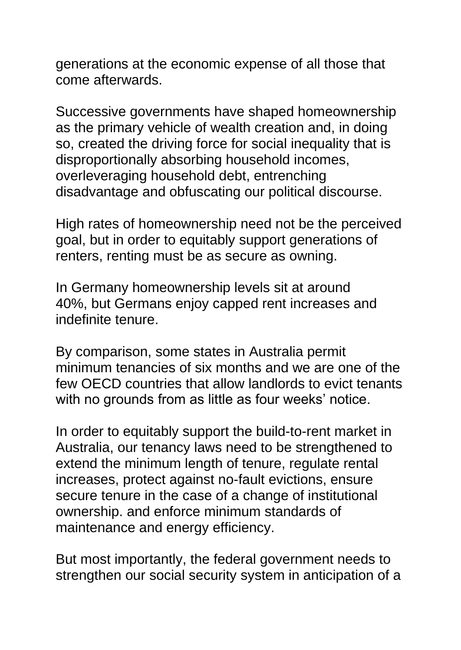generations at the economic expense of all those that come afterwards.

Successive governments have shaped homeownership as the primary vehicle of wealth creation and, in doing so, created the driving force for social inequality that is disproportionally absorbing household incomes, overleveraging household debt, entrenching disadvantage and obfuscating our political discourse.

High rates of homeownership need not be the perceived goal, but in order to equitably support generations of renters, renting must be as secure as owning.

In Germany homeownership levels sit at around 40%, but Germans enjoy capped rent increases and indefinite tenure.

By comparison, some states in Australia permit minimum tenancies of six months and we are one of the few OECD countries that allow landlords to evict tenants with no grounds from as little as four weeks' notice.

In order to equitably support the build-to-rent market in Australia, our tenancy laws need to be strengthened to extend the minimum length of tenure, regulate rental increases, protect against no-fault evictions, ensure secure tenure in the case of a change of institutional ownership. and enforce minimum standards of maintenance and energy efficiency.

But most importantly, the federal government needs to strengthen our social security system in anticipation of a